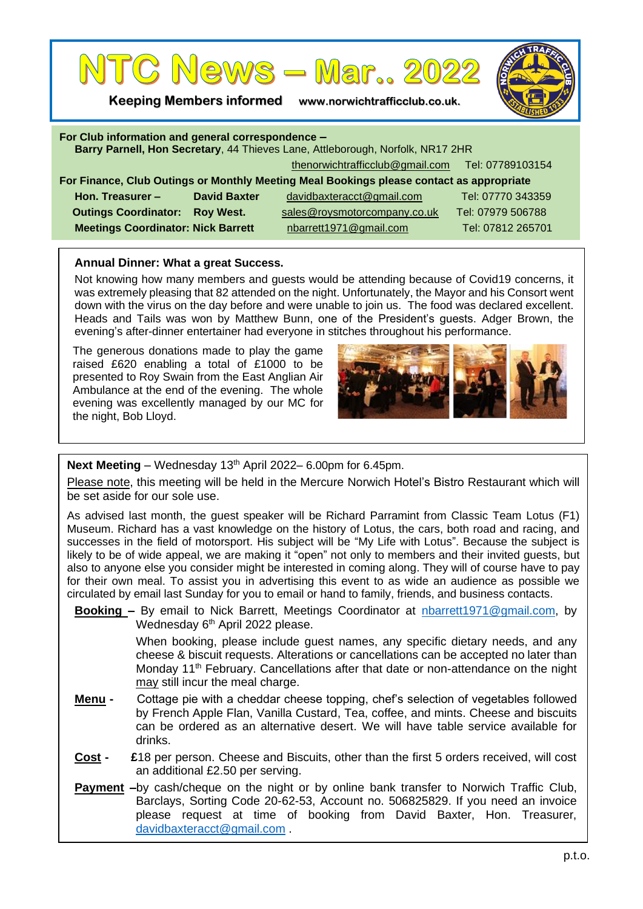

**Keeping Members informed www.norwichtrafficclub.co.uk.**



| For Club information and general correspondence -<br>Barry Parnell, Hon Secretary, 44 Thieves Lane, Attleborough, Norfolk, NR17 2HR |                     |                                                  |                   |
|-------------------------------------------------------------------------------------------------------------------------------------|---------------------|--------------------------------------------------|-------------------|
|                                                                                                                                     |                     | thenorwichtrafficclub@gmail.com Tel: 07789103154 |                   |
| For Finance, Club Outings or Monthly Meeting Meal Bookings please contact as appropriate                                            |                     |                                                  |                   |
| Hon. Treasurer -                                                                                                                    | <b>David Baxter</b> | davidbaxteracct@gmail.com                        | Tel: 07770 343359 |
| <b>Outings Coordinator:</b>                                                                                                         | <b>Roy West.</b>    | sales@roysmotorcompany.co.uk                     | Tel: 07979 506788 |
| <b>Meetings Coordinator: Nick Barrett</b>                                                                                           |                     | nbarrett1971@gmail.com                           | Tel: 07812 265701 |

## **Annual Dinner: What a great Success.**

Not knowing how many members and guests would be attending because of Covid19 concerns, it was extremely pleasing that 82 attended on the night. Unfortunately, the Mayor and his Consort went down with the virus on the day before and were unable to join us. The food was declared excellent. Heads and Tails was won by Matthew Bunn, one of the President's guests. Adger Brown, the evening's after-dinner entertainer had everyone in stitches throughout his performance.

The generous donations made to play the game raised £620 enabling a total of £1000 to be presented to Roy Swain from the East Anglian Air Ambulance at the end of the evening. The whole evening was excellently managed by our MC for the night, Bob Lloyd.



Next Meeting – Wednesday 13<sup>th</sup> April 2022– 6.00pm for 6.45pm.

Please note, this meeting will be held in the Mercure Norwich Hotel's Bistro Restaurant which will be set aside for our sole use.

As advised last month, the guest speaker will be Richard Parramint from Classic Team Lotus (F1) Museum. Richard has a vast knowledge on the history of Lotus, the cars, both road and racing, and successes in the field of motorsport. His subject will be "My Life with Lotus". Because the subject is likely to be of wide appeal, we are making it "open" not only to members and their invited guests, but also to anyone else you consider might be interested in coming along. They will of course have to pay for their own meal. To assist you in advertising this event to as wide an audience as possible we circulated by email last Sunday for you to email or hand to family, friends, and business contacts.

**Booking –** By email to Nick Barrett, Meetings Coordinator at [nbarrett1971@gmail.com,](mailto:nbarrett1971@gmail.com) by Wednesday 6<sup>th</sup> April 2022 please.

> When booking, please include guest names, any specific dietary needs, and any cheese & biscuit requests. Alterations or cancellations can be accepted no later than Monday 11<sup>th</sup> February. Cancellations after that date or non-attendance on the night may still incur the meal charge.

- **Menu** Cottage pie with a cheddar cheese topping, chef's selection of vegetables followed by French Apple Flan, Vanilla Custard, Tea, coffee, and mints. Cheese and biscuits can be ordered as an alternative desert. We will have table service available for drinks.
- **Cost £**18 per person. Cheese and Biscuits, other than the first 5 orders received, will cost an additional £2.50 per serving.
- **Payment** –by cash/cheque on the night or by online bank transfer to Norwich Traffic Club, Barclays, Sorting Code 20-62-53, Account no. 506825829. If you need an invoice please request at time of booking from David Baxter, Hon. Treasurer, [davidbaxteracct@gmail.com](mailto:davidbaxteracct@gmail.com) .